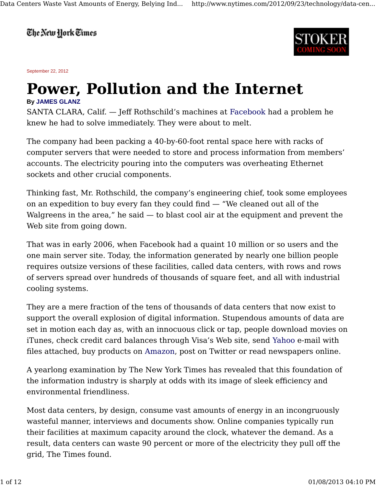The New York Times



September 22, 2012

# **Power, Pollution and the Internet**

**By JAMES GLANZ**

SANTA CLARA, Calif. — Jeff Rothschild's machines at Facebook had a problem he knew he had to solve immediately. They were about to melt.

The company had been packing a 40-by-60-foot rental space here with racks of computer servers that were needed to store and process information from members' accounts. The electricity pouring into the computers was overheating Ethernet sockets and other crucial components.

Thinking fast, Mr. Rothschild, the company's engineering chief, took some employees on an expedition to buy every fan they could find — "We cleaned out all of the Walgreens in the area," he said — to blast cool air at the equipment and prevent the Web site from going down.

That was in early 2006, when Facebook had a quaint 10 million or so users and the one main server site. Today, the information generated by nearly one billion people requires outsize versions of these facilities, called data centers, with rows and rows of servers spread over hundreds of thousands of square feet, and all with industrial cooling systems.

They are a mere fraction of the tens of thousands of data centers that now exist to support the overall explosion of digital information. Stupendous amounts of data are set in motion each day as, with an innocuous click or tap, people download movies on iTunes, check credit card balances through Visa's Web site, send Yahoo e-mail with files attached, buy products on Amazon, post on Twitter or read newspapers online.

A yearlong examination by The New York Times has revealed that this foundation of the information industry is sharply at odds with its image of sleek efficiency and environmental friendliness.

Most data centers, by design, consume vast amounts of energy in an incongruously wasteful manner, interviews and documents show. Online companies typically run their facilities at maximum capacity around the clock, whatever the demand. As a result, data centers can waste 90 percent or more of the electricity they pull off the grid, The Times found.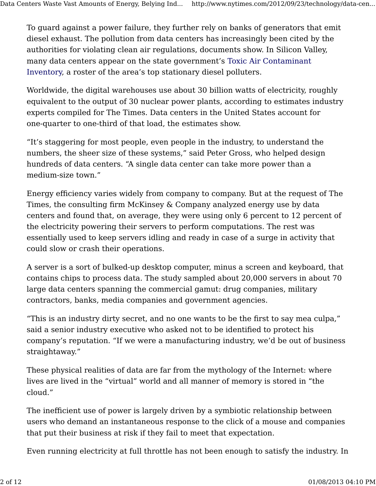To guard against a power failure, they further rely on banks of generators that emit diesel exhaust. The pollution from data centers has increasingly been cited by the authorities for violating clean air regulations, documents show. In Silicon Valley, many data centers appear on the state government's Toxic Air Contaminant Inventory, a roster of the area's top stationary diesel polluters.

Worldwide, the digital warehouses use about 30 billion watts of electricity, roughly equivalent to the output of 30 nuclear power plants, according to estimates industry experts compiled for The Times. Data centers in the United States account for one-quarter to one-third of that load, the estimates show.

"It's staggering for most people, even people in the industry, to understand the numbers, the sheer size of these systems," said Peter Gross, who helped design hundreds of data centers. "A single data center can take more power than a medium-size town."

Energy efficiency varies widely from company to company. But at the request of The Times, the consulting firm McKinsey & Company analyzed energy use by data centers and found that, on average, they were using only 6 percent to 12 percent of the electricity powering their servers to perform computations. The rest was essentially used to keep servers idling and ready in case of a surge in activity that could slow or crash their operations.

A server is a sort of bulked-up desktop computer, minus a screen and keyboard, that contains chips to process data. The study sampled about 20,000 servers in about 70 large data centers spanning the commercial gamut: drug companies, military contractors, banks, media companies and government agencies.

"This is an industry dirty secret, and no one wants to be the first to say mea culpa," said a senior industry executive who asked not to be identified to protect his company's reputation. "If we were a manufacturing industry, we'd be out of business straightaway."

These physical realities of data are far from the mythology of the Internet: where lives are lived in the "virtual" world and all manner of memory is stored in "the cloud."

The inefficient use of power is largely driven by a symbiotic relationship between users who demand an instantaneous response to the click of a mouse and companies that put their business at risk if they fail to meet that expectation.

Even running electricity at full throttle has not been enough to satisfy the industry. In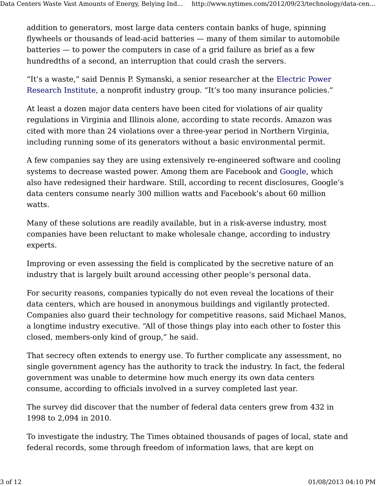addition to generators, most large data centers contain banks of huge, spinning flywheels or thousands of lead-acid batteries — many of them similar to automobile batteries — to power the computers in case of a grid failure as brief as a few hundredths of a second, an interruption that could crash the servers.

"It's a waste," said Dennis P. Symanski, a senior researcher at the Electric Power Research Institute, a nonprofit industry group. "It's too many insurance policies."

At least a dozen major data centers have been cited for violations of air quality regulations in Virginia and Illinois alone, according to state records. Amazon was cited with more than 24 violations over a three-year period in Northern Virginia, including running some of its generators without a basic environmental permit.

A few companies say they are using extensively re-engineered software and cooling systems to decrease wasted power. Among them are Facebook and Google, which also have redesigned their hardware. Still, according to recent disclosures, Google's data centers consume nearly 300 million watts and Facebook's about 60 million watts.

Many of these solutions are readily available, but in a risk-averse industry, most companies have been reluctant to make wholesale change, according to industry experts.

Improving or even assessing the field is complicated by the secretive nature of an industry that is largely built around accessing other people's personal data.

For security reasons, companies typically do not even reveal the locations of their data centers, which are housed in anonymous buildings and vigilantly protected. Companies also guard their technology for competitive reasons, said Michael Manos, a longtime industry executive. "All of those things play into each other to foster this closed, members-only kind of group," he said.

That secrecy often extends to energy use. To further complicate any assessment, no single government agency has the authority to track the industry. In fact, the federal government was unable to determine how much energy its own data centers consume, according to officials involved in a survey completed last year.

The survey did discover that the number of federal data centers grew from 432 in 1998 to 2,094 in 2010.

To investigate the industry, The Times obtained thousands of pages of local, state and federal records, some through freedom of information laws, that are kept on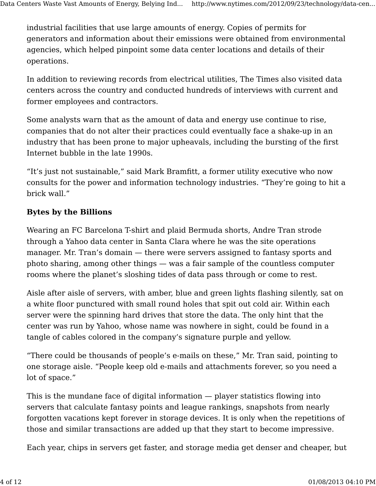industrial facilities that use large amounts of energy. Copies of permits for generators and information about their emissions were obtained from environmental agencies, which helped pinpoint some data center locations and details of their operations.

In addition to reviewing records from electrical utilities, The Times also visited data centers across the country and conducted hundreds of interviews with current and former employees and contractors.

Some analysts warn that as the amount of data and energy use continue to rise, companies that do not alter their practices could eventually face a shake-up in an industry that has been prone to major upheavals, including the bursting of the first Internet bubble in the late 1990s.

"It's just not sustainable," said Mark Bramfitt, a former utility executive who now consults for the power and information technology industries. "They're going to hit a brick wall."

## **Bytes by the Billions**

Wearing an FC Barcelona T-shirt and plaid Bermuda shorts, Andre Tran strode through a Yahoo data center in Santa Clara where he was the site operations manager. Mr. Tran's domain — there were servers assigned to fantasy sports and photo sharing, among other things — was a fair sample of the countless computer rooms where the planet's sloshing tides of data pass through or come to rest.

Aisle after aisle of servers, with amber, blue and green lights flashing silently, sat on a white floor punctured with small round holes that spit out cold air. Within each server were the spinning hard drives that store the data. The only hint that the center was run by Yahoo, whose name was nowhere in sight, could be found in a tangle of cables colored in the company's signature purple and yellow.

"There could be thousands of people's e-mails on these," Mr. Tran said, pointing to one storage aisle. "People keep old e-mails and attachments forever, so you need a lot of space."

This is the mundane face of digital information — player statistics flowing into servers that calculate fantasy points and league rankings, snapshots from nearly forgotten vacations kept forever in storage devices. It is only when the repetitions of those and similar transactions are added up that they start to become impressive.

Each year, chips in servers get faster, and storage media get denser and cheaper, but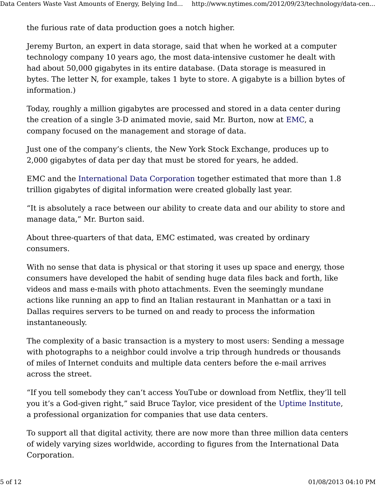the furious rate of data production goes a notch higher.

Jeremy Burton, an expert in data storage, said that when he worked at a computer technology company 10 years ago, the most data-intensive customer he dealt with had about 50,000 gigabytes in its entire database. (Data storage is measured in bytes. The letter N, for example, takes 1 byte to store. A gigabyte is a billion bytes of information.)

Today, roughly a million gigabytes are processed and stored in a data center during the creation of a single 3-D animated movie, said Mr. Burton, now at EMC, a company focused on the management and storage of data.

Just one of the company's clients, the New York Stock Exchange, produces up to 2,000 gigabytes of data per day that must be stored for years, he added.

EMC and the International Data Corporation together estimated that more than 1.8 trillion gigabytes of digital information were created globally last year.

"It is absolutely a race between our ability to create data and our ability to store and manage data," Mr. Burton said.

About three-quarters of that data, EMC estimated, was created by ordinary consumers.

With no sense that data is physical or that storing it uses up space and energy, those consumers have developed the habit of sending huge data files back and forth, like videos and mass e-mails with photo attachments. Even the seemingly mundane actions like running an app to find an Italian restaurant in Manhattan or a taxi in Dallas requires servers to be turned on and ready to process the information instantaneously.

The complexity of a basic transaction is a mystery to most users: Sending a message with photographs to a neighbor could involve a trip through hundreds or thousands of miles of Internet conduits and multiple data centers before the e-mail arrives across the street.

"If you tell somebody they can't access YouTube or download from Netflix, they'll tell you it's a God-given right," said Bruce Taylor, vice president of the Uptime Institute, a professional organization for companies that use data centers.

To support all that digital activity, there are now more than three million data centers of widely varying sizes worldwide, according to figures from the International Data Corporation.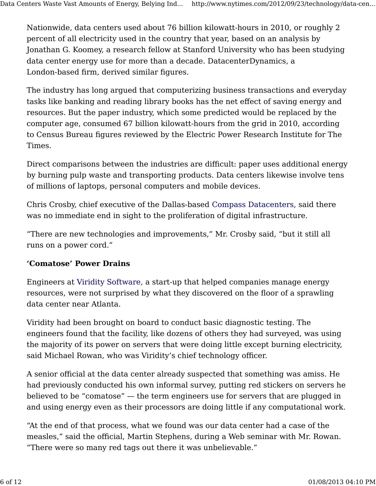Nationwide, data centers used about 76 billion kilowatt-hours in 2010, or roughly 2 percent of all electricity used in the country that year, based on an analysis by Jonathan G. Koomey, a research fellow at Stanford University who has been studying data center energy use for more than a decade. DatacenterDynamics, a London-based firm, derived similar figures.

The industry has long argued that computerizing business transactions and everyday tasks like banking and reading library books has the net effect of saving energy and resources. But the paper industry, which some predicted would be replaced by the computer age, consumed 67 billion kilowatt-hours from the grid in 2010, according to Census Bureau figures reviewed by the Electric Power Research Institute for The Times.

Direct comparisons between the industries are difficult: paper uses additional energy by burning pulp waste and transporting products. Data centers likewise involve tens of millions of laptops, personal computers and mobile devices.

Chris Crosby, chief executive of the Dallas-based Compass Datacenters, said there was no immediate end in sight to the proliferation of digital infrastructure.

"There are new technologies and improvements," Mr. Crosby said, "but it still all runs on a power cord."

#### **'Comatose' Power Drains**

Engineers at Viridity Software, a start-up that helped companies manage energy resources, were not surprised by what they discovered on the floor of a sprawling data center near Atlanta.

Viridity had been brought on board to conduct basic diagnostic testing. The engineers found that the facility, like dozens of others they had surveyed, was using the majority of its power on servers that were doing little except burning electricity, said Michael Rowan, who was Viridity's chief technology officer.

A senior official at the data center already suspected that something was amiss. He had previously conducted his own informal survey, putting red stickers on servers he believed to be "comatose" — the term engineers use for servers that are plugged in and using energy even as their processors are doing little if any computational work.

"At the end of that process, what we found was our data center had a case of the measles," said the official, Martin Stephens, during a Web seminar with Mr. Rowan. "There were so many red tags out there it was unbelievable."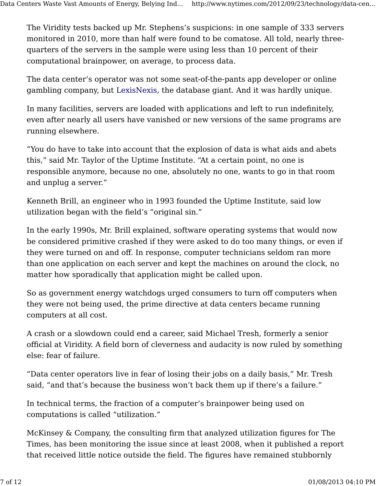The Viridity tests backed up Mr. Stephens's suspicions: in one sample of 333 servers monitored in 2010, more than half were found to be comatose. All told, nearly threequarters of the servers in the sample were using less than 10 percent of their computational brainpower, on average, to process data.

The data center's operator was not some seat-of-the-pants app developer or online gambling company, but LexisNexis, the database giant. And it was hardly unique.

In many facilities, servers are loaded with applications and left to run indefinitely, even after nearly all users have vanished or new versions of the same programs are running elsewhere.

"You do have to take into account that the explosion of data is what aids and abets this," said Mr. Taylor of the Uptime Institute. "At a certain point, no one is responsible anymore, because no one, absolutely no one, wants to go in that room and unplug a server."

Kenneth Brill, an engineer who in 1993 founded the Uptime Institute, said low utilization began with the field's "original sin."

In the early 1990s, Mr. Brill explained, software operating systems that would now be considered primitive crashed if they were asked to do too many things, or even if they were turned on and off. In response, computer technicians seldom ran more than one application on each server and kept the machines on around the clock, no matter how sporadically that application might be called upon.

So as government energy watchdogs urged consumers to turn off computers when they were not being used, the prime directive at data centers became running computers at all cost.

A crash or a slowdown could end a career, said Michael Tresh, formerly a senior official at Viridity. A field born of cleverness and audacity is now ruled by something else: fear of failure.

"Data center operators live in fear of losing their jobs on a daily basis," Mr. Tresh said, "and that's because the business won't back them up if there's a failure."

In technical terms, the fraction of a computer's brainpower being used on computations is called "utilization."

McKinsey & Company, the consulting firm that analyzed utilization figures for The Times, has been monitoring the issue since at least 2008, when it published a report that received little notice outside the field. The figures have remained stubbornly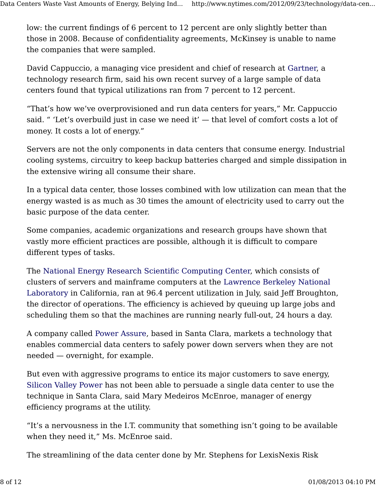low: the current findings of 6 percent to 12 percent are only slightly better than those in 2008. Because of confidentiality agreements, McKinsey is unable to name the companies that were sampled.

David Cappuccio, a managing vice president and chief of research at Gartner, a technology research firm, said his own recent survey of a large sample of data centers found that typical utilizations ran from 7 percent to 12 percent.

"That's how we've overprovisioned and run data centers for years," Mr. Cappuccio said. " 'Let's overbuild just in case we need it' — that level of comfort costs a lot of money. It costs a lot of energy."

Servers are not the only components in data centers that consume energy. Industrial cooling systems, circuitry to keep backup batteries charged and simple dissipation in the extensive wiring all consume their share.

In a typical data center, those losses combined with low utilization can mean that the energy wasted is as much as 30 times the amount of electricity used to carry out the basic purpose of the data center.

Some companies, academic organizations and research groups have shown that vastly more efficient practices are possible, although it is difficult to compare different types of tasks.

The National Energy Research Scientific Computing Center, which consists of clusters of servers and mainframe computers at the Lawrence Berkeley National Laboratory in California, ran at 96.4 percent utilization in July, said Jeff Broughton, the director of operations. The efficiency is achieved by queuing up large jobs and scheduling them so that the machines are running nearly full-out, 24 hours a day.

A company called Power Assure, based in Santa Clara, markets a technology that enables commercial data centers to safely power down servers when they are not needed — overnight, for example.

But even with aggressive programs to entice its major customers to save energy, Silicon Valley Power has not been able to persuade a single data center to use the technique in Santa Clara, said Mary Medeiros McEnroe, manager of energy efficiency programs at the utility.

"It's a nervousness in the I.T. community that something isn't going to be available when they need it," Ms. McEnroe said.

The streamlining of the data center done by Mr. Stephens for LexisNexis Risk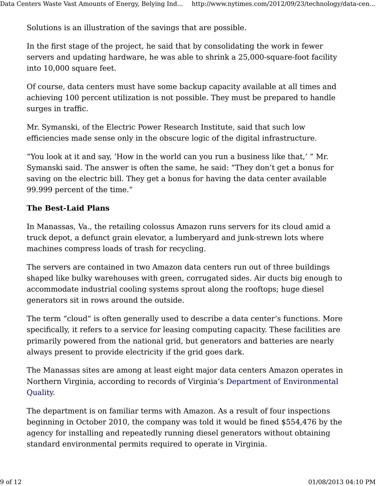Solutions is an illustration of the savings that are possible.

In the first stage of the project, he said that by consolidating the work in fewer servers and updating hardware, he was able to shrink a 25,000-square-foot facility into 10,000 square feet.

Of course, data centers must have some backup capacity available at all times and achieving 100 percent utilization is not possible. They must be prepared to handle surges in traffic.

Mr. Symanski, of the Electric Power Research Institute, said that such low efficiencies made sense only in the obscure logic of the digital infrastructure.

"You look at it and say, 'How in the world can you run a business like that,' " Mr. Symanski said. The answer is often the same, he said: "They don't get a bonus for saving on the electric bill. They get a bonus for having the data center available 99.999 percent of the time."

#### **The Best-Laid Plans**

In Manassas, Va., the retailing colossus Amazon runs servers for its cloud amid a truck depot, a defunct grain elevator, a lumberyard and junk-strewn lots where machines compress loads of trash for recycling.

The servers are contained in two Amazon data centers run out of three buildings shaped like bulky warehouses with green, corrugated sides. Air ducts big enough to accommodate industrial cooling systems sprout along the rooftops; huge diesel generators sit in rows around the outside.

The term "cloud" is often generally used to describe a data center's functions. More specifically, it refers to a service for leasing computing capacity. These facilities are primarily powered from the national grid, but generators and batteries are nearly always present to provide electricity if the grid goes dark.

The Manassas sites are among at least eight major data centers Amazon operates in Northern Virginia, according to records of Virginia's Department of Environmental Quality.

The department is on familiar terms with Amazon. As a result of four inspections beginning in October 2010, the company was told it would be fined \$554,476 by the agency for installing and repeatedly running diesel generators without obtaining standard environmental permits required to operate in Virginia.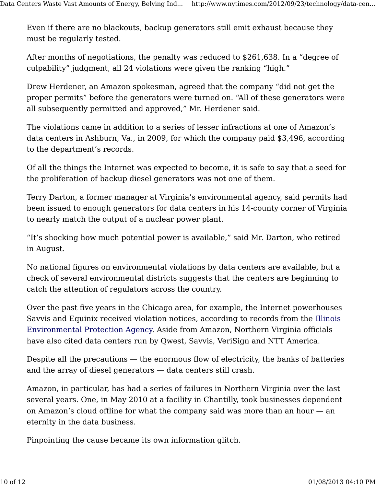Even if there are no blackouts, backup generators still emit exhaust because they must be regularly tested.

After months of negotiations, the penalty was reduced to \$261,638. In a "degree of culpability" judgment, all 24 violations were given the ranking "high."

Drew Herdener, an Amazon spokesman, agreed that the company "did not get the proper permits" before the generators were turned on. "All of these generators were all subsequently permitted and approved," Mr. Herdener said.

The violations came in addition to a series of lesser infractions at one of Amazon's data centers in Ashburn, Va., in 2009, for which the company paid \$3,496, according to the department's records.

Of all the things the Internet was expected to become, it is safe to say that a seed for the proliferation of backup diesel generators was not one of them.

Terry Darton, a former manager at Virginia's environmental agency, said permits had been issued to enough generators for data centers in his 14-county corner of Virginia to nearly match the output of a nuclear power plant.

"It's shocking how much potential power is available," said Mr. Darton, who retired in August.

No national figures on environmental violations by data centers are available, but a check of several environmental districts suggests that the centers are beginning to catch the attention of regulators across the country.

Over the past five years in the Chicago area, for example, the Internet powerhouses Savvis and Equinix received violation notices, according to records from the Illinois Environmental Protection Agency. Aside from Amazon, Northern Virginia officials have also cited data centers run by Qwest, Savvis, VeriSign and NTT America.

Despite all the precautions — the enormous flow of electricity, the banks of batteries and the array of diesel generators — data centers still crash.

Amazon, in particular, has had a series of failures in Northern Virginia over the last several years. One, in May 2010 at a facility in Chantilly, took businesses dependent on Amazon's cloud offline for what the company said was more than an hour — an eternity in the data business.

Pinpointing the cause became its own information glitch.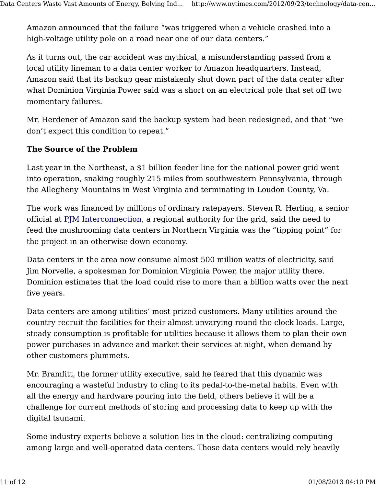Amazon announced that the failure "was triggered when a vehicle crashed into a high-voltage utility pole on a road near one of our data centers."

As it turns out, the car accident was mythical, a misunderstanding passed from a local utility lineman to a data center worker to Amazon headquarters. Instead, Amazon said that its backup gear mistakenly shut down part of the data center after what Dominion Virginia Power said was a short on an electrical pole that set off two momentary failures.

Mr. Herdener of Amazon said the backup system had been redesigned, and that "we don't expect this condition to repeat."

### **The Source of the Problem**

Last year in the Northeast, a \$1 billion feeder line for the national power grid went into operation, snaking roughly 215 miles from southwestern Pennsylvania, through the Allegheny Mountains in West Virginia and terminating in Loudon County, Va.

The work was financed by millions of ordinary ratepayers. Steven R. Herling, a senior official at PJM Interconnection, a regional authority for the grid, said the need to feed the mushrooming data centers in Northern Virginia was the "tipping point" for the project in an otherwise down economy.

Data centers in the area now consume almost 500 million watts of electricity, said Jim Norvelle, a spokesman for Dominion Virginia Power, the major utility there. Dominion estimates that the load could rise to more than a billion watts over the next five years.

Data centers are among utilities' most prized customers. Many utilities around the country recruit the facilities for their almost unvarying round-the-clock loads. Large, steady consumption is profitable for utilities because it allows them to plan their own power purchases in advance and market their services at night, when demand by other customers plummets.

Mr. Bramfitt, the former utility executive, said he feared that this dynamic was encouraging a wasteful industry to cling to its pedal-to-the-metal habits. Even with all the energy and hardware pouring into the field, others believe it will be a challenge for current methods of storing and processing data to keep up with the digital tsunami.

Some industry experts believe a solution lies in the cloud: centralizing computing among large and well-operated data centers. Those data centers would rely heavily